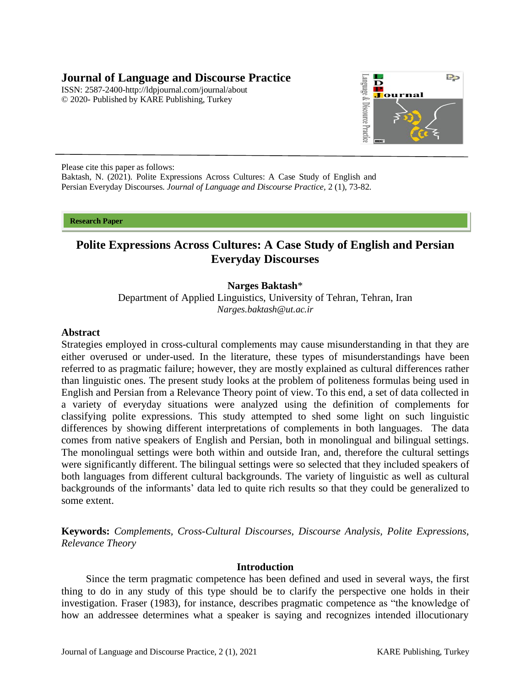## **Journal of Language and Discourse Practice**

ISSN: 2587-2400[-http://ldpjournal.com/j](http://ldpjournal.com/)ournal/about © 2020- Published by KARE Publishing, Turkey



Please cite this paper as follows: Baktash, N. (2021). Polite Expressions Across Cultures: A Case Study of English and Persian Everyday Discourses. *Journal of Language and Discourse Practice,* 2 (1), 73-82.

**Research Paper** 

# **Polite Expressions Across Cultures: A Case Study of English and Persian Everyday Discourses**

## **Narges Baktash**\*

Department of Applied Linguistics, University of Tehran, Tehran, Iran *[Narges.baktash@ut.ac.ir](mailto:Narges.baktash@ut.ac.ir)*

#### **Abstract**

Strategies employed in cross-cultural complements may cause misunderstanding in that they are either overused or under-used. In the literature, these types of misunderstandings have been referred to as pragmatic failure; however, they are mostly explained as cultural differences rather than linguistic ones. The present study looks at the problem of politeness formulas being used in English and Persian from a Relevance Theory point of view. To this end, a set of data collected in a variety of everyday situations were analyzed using the definition of complements for classifying polite expressions. This study attempted to shed some light on such linguistic differences by showing different interpretations of complements in both languages. The data comes from native speakers of English and Persian, both in monolingual and bilingual settings. The monolingual settings were both within and outside Iran, and, therefore the cultural settings were significantly different. The bilingual settings were so selected that they included speakers of both languages from different cultural backgrounds. The variety of linguistic as well as cultural backgrounds of the informants' data led to quite rich results so that they could be generalized to some extent.

**Keywords:** *Complements, Cross-Cultural Discourses, Discourse Analysis, Polite Expressions, Relevance Theory*

#### **Introduction**

Since the term pragmatic competence has been defined and used in several ways, the first thing to do in any study of this type should be to clarify the perspective one holds in their investigation. Fraser (1983), for instance, describes pragmatic competence as "the knowledge of how an addressee determines what a speaker is saying and recognizes intended illocutionary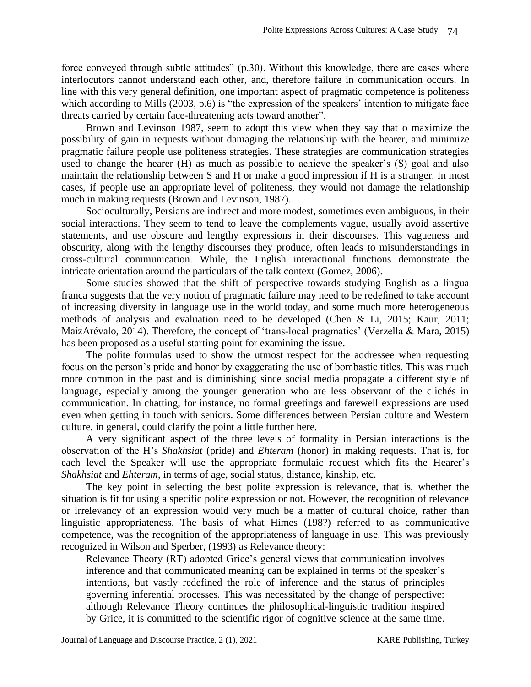force conveyed through subtle attitudes" (p.30). Without this knowledge, there are cases where interlocutors cannot understand each other, and, therefore failure in communication occurs. In line with this very general definition, one important aspect of pragmatic competence is politeness which according to Mills (2003, p.6) is "the expression of the speakers' intention to mitigate face threats carried by certain face-threatening acts toward another".

Brown and Levinson 1987, seem to adopt this view when they say that o maximize the possibility of gain in requests without damaging the relationship with the hearer, and minimize pragmatic failure people use politeness strategies. These strategies are communication strategies used to change the hearer (H) as much as possible to achieve the speaker's (S) goal and also maintain the relationship between S and H or make a good impression if H is a stranger. In most cases, if people use an appropriate level of politeness, they would not damage the relationship much in making requests (Brown and Levinson, 1987).

Socioculturally, Persians are indirect and more modest, sometimes even ambiguous, in their social interactions. They seem to tend to leave the complements vague, usually avoid assertive statements, and use obscure and lengthy expressions in their discourses. This vagueness and obscurity, along with the lengthy discourses they produce, often leads to misunderstandings in cross-cultural communication. While, the English interactional functions demonstrate the intricate orientation around the particulars of the talk context (Gomez, 2006).

Some studies showed that the shift of perspective towards studying English as a lingua franca suggests that the very notion of pragmatic failure may need to be redefined to take account of increasing diversity in language use in the world today, and some much more heterogeneous methods of analysis and evaluation need to be developed (Chen & Li, 2015; Kaur, 2011; MaízArévalo, 2014). Therefore, the concept of 'trans-local pragmatics' (Verzella & Mara, 2015) has been proposed as a useful starting point for examining the issue.

The polite formulas used to show the utmost respect for the addressee when requesting focus on the person's pride and honor by exaggerating the use of bombastic titles. This was much more common in the past and is diminishing since social media propagate a different style of language, especially among the younger generation who are less observant of the clichés in communication. In chatting, for instance, no formal greetings and farewell expressions are used even when getting in touch with seniors. Some differences between Persian culture and Western culture, in general, could clarify the point a little further here.

A very significant aspect of the three levels of formality in Persian interactions is the observation of the H's *Shakhsiat* (pride) and *Ehteram* (honor) in making requests. That is, for each level the Speaker will use the appropriate formulaic request which fits the Hearer's *Shakhsiat* and *Ehteram*, in terms of age, social status, distance, kinship, etc.

The key point in selecting the best polite expression is relevance, that is, whether the situation is fit for using a specific polite expression or not. However, the recognition of relevance or irrelevancy of an expression would very much be a matter of cultural choice, rather than linguistic appropriateness. The basis of what Himes (198?) referred to as communicative competence, was the recognition of the appropriateness of language in use. This was previously recognized in Wilson and Sperber, (1993) as Relevance theory:

Relevance Theory (RT) adopted Grice's general views that communication involves inference and that communicated meaning can be explained in terms of the speaker's intentions, but vastly redefined the role of inference and the status of principles governing inferential processes. This was necessitated by the change of perspective: although Relevance Theory continues the philosophical-linguistic tradition inspired by Grice, it is committed to the scientific rigor of cognitive science at the same time.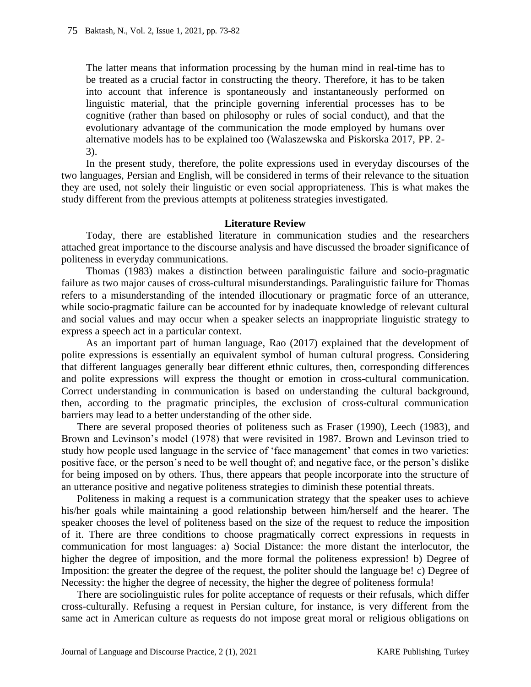The latter means that information processing by the human mind in real-time has to be treated as a crucial factor in constructing the theory. Therefore, it has to be taken into account that inference is spontaneously and instantaneously performed on linguistic material, that the principle governing inferential processes has to be cognitive (rather than based on philosophy or rules of social conduct), and that the evolutionary advantage of the communication the mode employed by humans over alternative models has to be explained too (Walaszewska and Piskorska 2017, PP. 2- 3).

In the present study, therefore, the polite expressions used in everyday discourses of the two languages, Persian and English, will be considered in terms of their relevance to the situation they are used, not solely their linguistic or even social appropriateness. This is what makes the study different from the previous attempts at politeness strategies investigated.

### **Literature Review**

Today, there are established literature in communication studies and the researchers attached great importance to the discourse analysis and have discussed the broader significance of politeness in everyday communications.

Thomas (1983) makes a distinction between paralinguistic failure and socio-pragmatic failure as two major causes of cross-cultural misunderstandings. Paralinguistic failure for Thomas refers to a misunderstanding of the intended illocutionary or pragmatic force of an utterance, while socio-pragmatic failure can be accounted for by inadequate knowledge of relevant cultural and social values and may occur when a speaker selects an inappropriate linguistic strategy to express a speech act in a particular context.

As an important part of human language, Rao (2017) explained that the development of polite expressions is essentially an equivalent symbol of human cultural progress. Considering that different languages generally bear different ethnic cultures, then, corresponding differences and polite expressions will express the thought or emotion in cross-cultural communication. Correct understanding in communication is based on understanding the cultural background, then, according to the pragmatic principles, the exclusion of cross-cultural communication barriers may lead to a better understanding of the other side.

There are several proposed theories of politeness such as Fraser (1990), Leech (1983), and Brown and Levinson's model (1978) that were revisited in 1987. Brown and Levinson tried to study how people used language in the service of 'face management' that comes in two varieties: positive face, or the person's need to be well thought of; and negative face, or the person's dislike for being imposed on by others. Thus, there appears that people incorporate into the structure of an utterance positive and negative politeness strategies to diminish these potential threats.

Politeness in making a request is a communication strategy that the speaker uses to achieve his/her goals while maintaining a good relationship between him/herself and the hearer. The speaker chooses the level of politeness based on the size of the request to reduce the imposition of it. There are three conditions to choose pragmatically correct expressions in requests in communication for most languages: a) Social Distance: the more distant the interlocutor, the higher the degree of imposition, and the more formal the politeness expression! b) Degree of Imposition: the greater the degree of the request, the politer should the language be! c) Degree of Necessity: the higher the degree of necessity, the higher the degree of politeness formula!

There are sociolinguistic rules for polite acceptance of requests or their refusals, which differ cross-culturally. Refusing a request in Persian culture, for instance, is very different from the same act in American culture as requests do not impose great moral or religious obligations on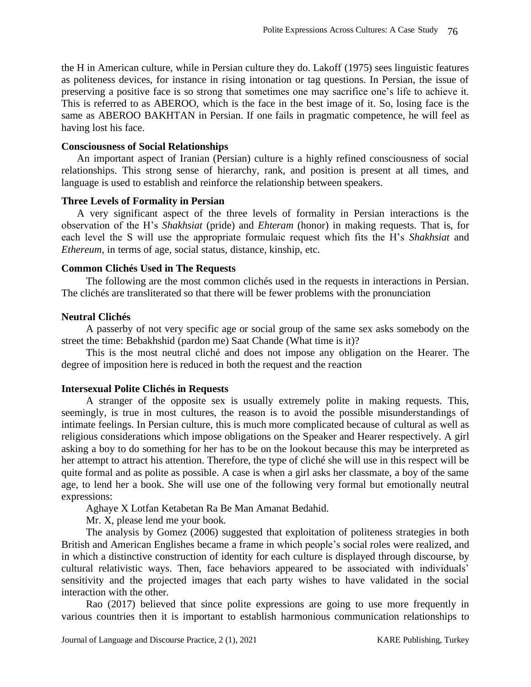the H in American culture, while in Persian culture they do. Lakoff (1975) sees linguistic features as politeness devices, for instance in rising intonation or tag questions. In Persian, the issue of preserving a positive face is so strong that sometimes one may sacrifice one's life to achieve it. This is referred to as ABEROO, which is the face in the best image of it. So, losing face is the same as ABEROO BAKHTAN in Persian. If one fails in pragmatic competence, he will feel as having lost his face.

### **Consciousness of Social Relationships**

An important aspect of Iranian (Persian) culture is a highly refined consciousness of social relationships. This strong sense of hierarchy, rank, and position is present at all times, and language is used to establish and reinforce the relationship between speakers.

### **Three Levels of Formality in Persian**

A very significant aspect of the three levels of formality in Persian interactions is the observation of the H's *Shakhsiat* (pride) and *Ehteram* (honor) in making requests. That is, for each level the S will use the appropriate formulaic request which fits the H's *Shakhsiat* and *Ethereum*, in terms of age, social status, distance, kinship, etc.

## **Common Clichés Used in The Requests**

The following are the most common clichés used in the requests in interactions in Persian. The clichés are transliterated so that there will be fewer problems with the pronunciation

## **Neutral Clichés**

A passerby of not very specific age or social group of the same sex asks somebody on the street the time: Bebakhshid (pardon me) Saat Chande (What time is it)?

This is the most neutral cliché and does not impose any obligation on the Hearer. The degree of imposition here is reduced in both the request and the reaction

## **Intersexual Polite Clichés in Requests**

A stranger of the opposite sex is usually extremely polite in making requests. This, seemingly, is true in most cultures, the reason is to avoid the possible misunderstandings of intimate feelings. In Persian culture, this is much more complicated because of cultural as well as religious considerations which impose obligations on the Speaker and Hearer respectively. A girl asking a boy to do something for her has to be on the lookout because this may be interpreted as her attempt to attract his attention. Therefore, the type of cliché she will use in this respect will be quite formal and as polite as possible. A case is when a girl asks her classmate, a boy of the same age, to lend her a book. She will use one of the following very formal but emotionally neutral expressions:

Aghaye X Lotfan Ketabetan Ra Be Man Amanat Bedahid.

Mr. X, please lend me your book.

The analysis by Gomez (2006) suggested that exploitation of politeness strategies in both British and American Englishes became a frame in which people's social roles were realized, and in which a distinctive construction of identity for each culture is displayed through discourse, by cultural relativistic ways. Then, face behaviors appeared to be associated with individuals' sensitivity and the projected images that each party wishes to have validated in the social interaction with the other.

Rao (2017) believed that since polite expressions are going to use more frequently in various countries then it is important to establish harmonious communication relationships to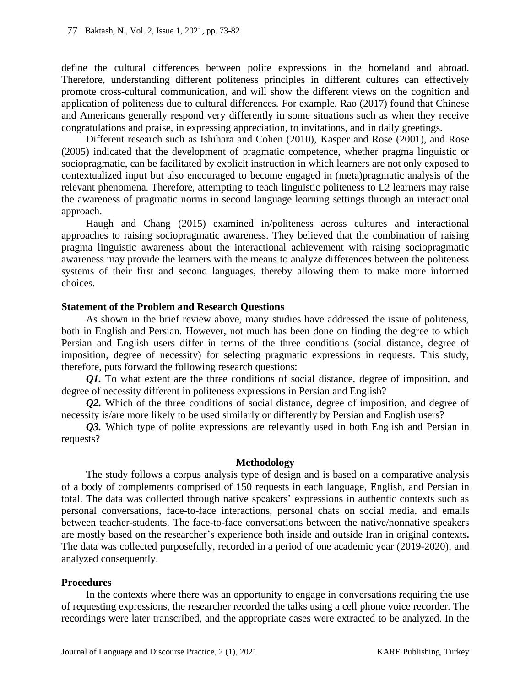define the cultural differences between polite expressions in the homeland and abroad. Therefore, understanding different politeness principles in different cultures can effectively promote cross-cultural communication, and will show the different views on the cognition and application of politeness due to cultural differences. For example, Rao (2017) found that Chinese and Americans generally respond very differently in some situations such as when they receive congratulations and praise, in expressing appreciation, to invitations, and in daily greetings.

Different research such as Ishihara and Cohen (2010), Kasper and Rose (2001), and Rose (2005) indicated that the development of pragmatic competence, whether pragma linguistic or sociopragmatic, can be facilitated by explicit instruction in which learners are not only exposed to contextualized input but also encouraged to become engaged in (meta)pragmatic analysis of the relevant phenomena. Therefore, attempting to teach linguistic politeness to L2 learners may raise the awareness of pragmatic norms in second language learning settings through an interactional approach.

Haugh and Chang (2015) examined in/politeness across cultures and interactional approaches to raising sociopragmatic awareness. They believed that the combination of raising pragma linguistic awareness about the interactional achievement with raising sociopragmatic awareness may provide the learners with the means to analyze differences between the politeness systems of their first and second languages, thereby allowing them to make more informed choices.

### **Statement of the Problem and Research Questions**

As shown in the brief review above, many studies have addressed the issue of politeness, both in English and Persian. However, not much has been done on finding the degree to which Persian and English users differ in terms of the three conditions (social distance, degree of imposition, degree of necessity) for selecting pragmatic expressions in requests. This study, therefore, puts forward the following research questions:

*Q1*. To what extent are the three conditions of social distance, degree of imposition, and degree of necessity different in politeness expressions in Persian and English?

*Q2.* Which of the three conditions of social distance, degree of imposition, and degree of necessity is/are more likely to be used similarly or differently by Persian and English users?

*Q3.* Which type of polite expressions are relevantly used in both English and Persian in requests?

#### **Methodology**

The study follows a corpus analysis type of design and is based on a comparative analysis of a body of complements comprised of 150 requests in each language, English, and Persian in total. The data was collected through native speakers' expressions in authentic contexts such as personal conversations, face-to-face interactions, personal chats on social media, and emails between teacher-students. The face-to-face conversations between the native/nonnative speakers are mostly based on the researcher's experience both inside and outside Iran in original contexts**.**  The data was collected purposefully, recorded in a period of one academic year (2019-2020), and analyzed consequently.

#### **Procedures**

In the contexts where there was an opportunity to engage in conversations requiring the use of requesting expressions, the researcher recorded the talks using a cell phone voice recorder. The recordings were later transcribed, and the appropriate cases were extracted to be analyzed. In the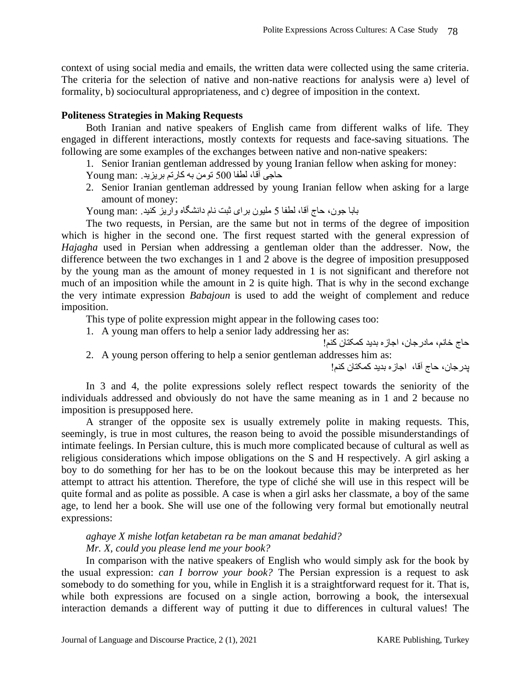context of using social media and emails, the written data were collected using the same criteria. The criteria for the selection of native and non-native reactions for analysis were a) level of formality, b) sociocultural appropriateness, and c) degree of imposition in the context.

#### **Politeness Strategies in Making Requests**

Both Iranian and native speakers of English came from different walks of life. They engaged in different interactions, mostly contexts for requests and face-saving situations. The following are some examples of the exchanges between native and non-native speakers:

1. Senior Iranian gentleman addressed by young Iranian fellow when asking for money: حاجی آقا، لطفا 500 تومن به کارتم بریزید. :man Young

2. Senior Iranian gentleman addressed by young Iranian fellow when asking for a large amount of money:

بابا جون، حاج آقا ، لطفا 5 ملیون برای ثبت نام دانشگاه واریز کنید. :man Young

The two requests, in Persian, are the same but not in terms of the degree of imposition which is higher in the second one. The first request started with the general expression of *Hajagha* used in Persian when addressing a gentleman older than the addresser. Now, the difference between the two exchanges in 1 and 2 above is the degree of imposition presupposed by the young man as the amount of money requested in 1 is not significant and therefore not much of an imposition while the amount in 2 is quite high. That is why in the second exchange the very intimate expression *Babajoun* is used to add the weight of complement and reduce imposition.

This type of polite expression might appear in the following cases too:

- 1. A young man offers to help a senior lady addressing her as:
- حاج خانم، مادرجان، اجازه بدید کمکتان کنم! 2. A young person offering to help a senior gentleman addresses him as: پدرجان، حاج آقا ، اجازه بدید کمکتان کنم!

In 3 and 4, the polite expressions solely reflect respect towards the seniority of the individuals addressed and obviously do not have the same meaning as in 1 and 2 because no imposition is presupposed here.

A stranger of the opposite sex is usually extremely polite in making requests. This, seemingly, is true in most cultures, the reason being to avoid the possible misunderstandings of intimate feelings. In Persian culture, this is much more complicated because of cultural as well as religious considerations which impose obligations on the S and H respectively. A girl asking a boy to do something for her has to be on the lookout because this may be interpreted as her attempt to attract his attention. Therefore, the type of cliché she will use in this respect will be quite formal and as polite as possible. A case is when a girl asks her classmate, a boy of the same age, to lend her a book. She will use one of the following very formal but emotionally neutral expressions:

## *aghaye X mishe lotfan ketabetan ra be man amanat bedahid? Mr. X, could you please lend me your book?*

In comparison with the native speakers of English who would simply ask for the book by the usual expression: *can I borrow your book?* The Persian expression is a request to ask somebody to do something for you, while in English it is a straightforward request for it. That is, while both expressions are focused on a single action, borrowing a book, the intersexual interaction demands a different way of putting it due to differences in cultural values! The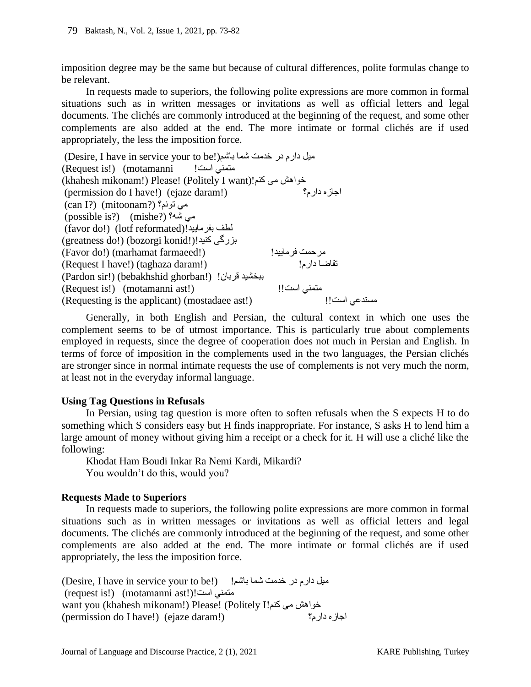imposition degree may be the same but because of cultural differences, polite formulas change to be relevant.

In requests made to superiors, the following polite expressions are more common in formal situations such as in written messages or invitations as well as official letters and legal documents. The clichés are commonly introduced at the beginning of the request, and some other complements are also added at the end. The more intimate or formal clichés are if used appropriately, the less the imposition force.

(Desire, I have in service your to be!)بل دارم در خدمت شما باشم (Request is!) (motamanni !است متمني (khahesh mikonam!) Please! (Politely I want) خواهش می کنم!(khahesh mikonam!)<br>احاز مدار م؟  $(permission do I have!)$  (ejaze daram!) (can I?) (mitoonam?) تونم؟ مي (possible is?) (mishe?) شه؟ مي (favor do!) (lotf reformated)!بفرمایید لطف (greatness do!) (bozorgi konid!)!کنید بزرگی (Favor do!) (marhamat farmaeed!) !فرمایید مرحمت (Request I have!) (taghaza daram!) !دارم تقاضا (Pardon sir!) (bebakhshid ghorban!) !قربان ببخشید (Request is!) (motamanni ast!) !!است متمني (Requesting is the applicant) (mostadaee ast!) ! !است مستدعي

Generally, in both English and Persian, the cultural context in which one uses the complement seems to be of utmost importance. This is particularly true about complements employed in requests, since the degree of cooperation does not much in Persian and English. In terms of force of imposition in the complements used in the two languages, the Persian clichés are stronger since in normal intimate requests the use of complements is not very much the norm, at least not in the everyday informal language.

### **Using Tag Questions in Refusals**

In Persian, using tag question is more often to soften refusals when the S expects H to do something which S considers easy but H finds inappropriate. For instance, S asks H to lend him a large amount of money without giving him a receipt or a check for it. H will use a cliché like the following:

Khodat Ham Boudi Inkar Ra Nemi Kardi, Mikardi? You wouldn't do this, would you?

## **Requests Made to Superiors**

In requests made to superiors, the following polite expressions are more common in formal situations such as in written messages or invitations as well as official letters and legal documents. The clichés are commonly introduced at the beginning of the request, and some other complements are also added at the end. The more intimate or formal clichés are if used appropriately, the less the imposition force.

(Desire, I have in service your to be!) ميل دارم در خدمت شما باشم! (request is!) (motamanni ast!)! است متمني want you (khahesh mikonam!) Please! (Politely I!کنام می کنم<br>احاز ه دار م؟ (permission do I have!) (ejaze daram!)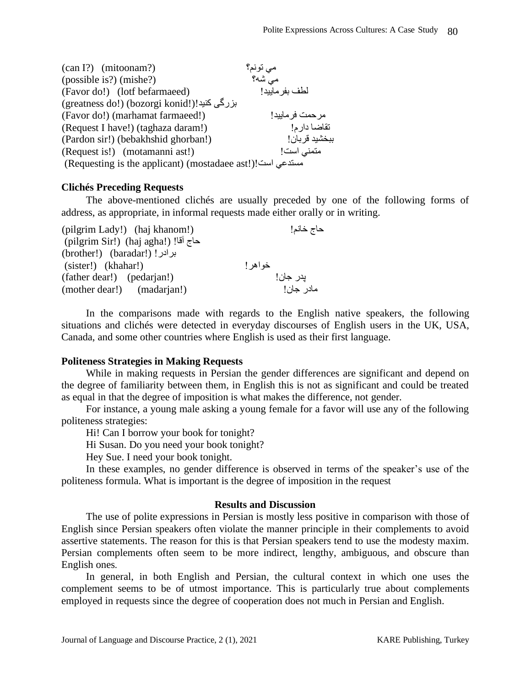| $(\text{can I?)}$ (mitoonam?)                              | مي تونم؟         |
|------------------------------------------------------------|------------------|
| (possible is?) (mishe?)                                    | می شه؟           |
| (Favor do!) (lotf befarmaeed)                              | لطف بفر ماييد!   |
| بزرگی کنید!(!greatness do!) (bozorgi konid)                |                  |
| (Favor do!) (marhamat farmaeed!)                           | مر حمت فر ماييد! |
| (Request I have!) (taghaza daram!)                         | تقاضا دارم!      |
| (Pardon sir!) (bebakhshid ghorban!)                        | ببخشيد قربان!    |
| (Request is!) (motamanni ast!)                             | متمنى است!       |
| (Requesting is the applicant) (mostadaee ast!)! مستدعى است |                  |

#### **Clichés Preceding Requests**

The above-mentioned clichés are usually preceded by one of the following forms of address, as appropriate, in informal requests made either orally or in writing.

| (pilgrim Lady!) (haj khanom!)       | حاج خانم! |
|-------------------------------------|-----------|
| حاج آقا! (!pilgrim Sir) (haj agha)) |           |
| (brother!) (baradar!) !برادر!       |           |
| (sister!) (khahar!)                 | خواهر !   |
| (father dear!) (pedarjan!)          | يدر جان!  |
| (mother dear!) (madarian!)          | مادر جان! |

In the comparisons made with regards to the English native speakers, the following situations and clichés were detected in everyday discourses of English users in the UK, USA, Canada, and some other countries where English is used as their first language.

#### **Politeness Strategies in Making Requests**

While in making requests in Persian the gender differences are significant and depend on the degree of familiarity between them, in English this is not as significant and could be treated as equal in that the degree of imposition is what makes the difference, not gender.

For instance, a young male asking a young female for a favor will use any of the following politeness strategies:

Hi! Can I borrow your book for tonight?

Hi Susan. Do you need your book tonight?

Hey Sue. I need your book tonight.

In these examples, no gender difference is observed in terms of the speaker's use of the politeness formula. What is important is the degree of imposition in the request

#### **Results and Discussion**

The use of polite expressions in Persian is mostly less positive in comparison with those of English since Persian speakers often violate the manner principle in their complements to avoid assertive statements. The reason for this is that Persian speakers tend to use the modesty maxim. Persian complements often seem to be more indirect, lengthy, ambiguous, and obscure than English ones.

In general, in both English and Persian, the cultural context in which one uses the complement seems to be of utmost importance. This is particularly true about complements employed in requests since the degree of cooperation does not much in Persian and English.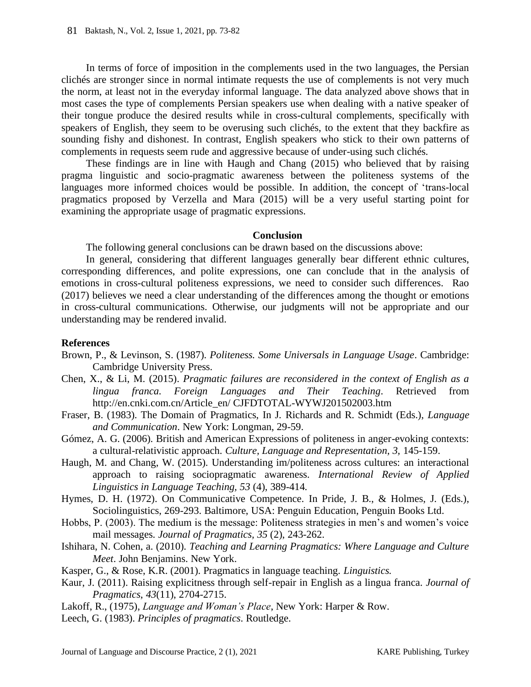In terms of force of imposition in the complements used in the two languages, the Persian clichés are stronger since in normal intimate requests the use of complements is not very much the norm, at least not in the everyday informal language. The data analyzed above shows that in most cases the type of complements Persian speakers use when dealing with a native speaker of their tongue produce the desired results while in cross-cultural complements, specifically with speakers of English, they seem to be overusing such clichés, to the extent that they backfire as sounding fishy and dishonest. In contrast, English speakers who stick to their own patterns of complements in requests seem rude and aggressive because of under-using such clichés.

These findings are in line with Haugh and Chang (2015) who believed that by raising pragma linguistic and socio-pragmatic awareness between the politeness systems of the languages more informed choices would be possible. In addition, the concept of 'trans-local pragmatics proposed by Verzella and Mara (2015) will be a very useful starting point for examining the appropriate usage of pragmatic expressions.

### **Conclusion**

The following general conclusions can be drawn based on the discussions above:

In general, considering that different languages generally bear different ethnic cultures, corresponding differences, and polite expressions, one can conclude that in the analysis of emotions in cross-cultural politeness expressions, we need to consider such differences. Rao (2017) believes we need a clear understanding of the differences among the thought or emotions in cross-cultural communications. Otherwise, our judgments will not be appropriate and our understanding may be rendered invalid.

### **References**

- Brown, P., & Levinson, S. (1987). *Politeness. Some Universals in Language Usage*. Cambridge: Cambridge University Press.
- Chen, X., & Li, M. (2015). *Pragmatic failures are reconsidered in the context of English as a lingua franca. Foreign Languages and Their Teaching*. Retrieved from http://en.cnki.com.cn/Article\_en/ CJFDTOTAL-WYWJ201502003.htm
- Fraser, B. (1983). The Domain of Pragmatics, In J. Richards and R. Schmidt (Eds.), *Language and Communication*. New York: Longman, 29-59.
- Gómez, A. G. (2006). British and American Expressions of politeness in anger-evoking contexts: a cultural-relativistic approach. *Culture, Language and Representation, 3,* 145-159.
- Haugh, M. and Chang, W. (2015). Understanding im/politeness across cultures: an interactional approach to raising sociopragmatic awareness. *International Review of Applied Linguistics in Language Teaching, 53* (4), 389-414.
- Hymes, D. H. (1972). On Communicative Competence. In Pride, J. B., & Holmes, J. (Eds.), Sociolinguistics, 269-293. Baltimore, USA: Penguin Education, Penguin Books Ltd.
- Hobbs, P. (2003). The medium is the message: Politeness strategies in men's and women's voice mail messages. *Journal of Pragmatics, 35* (2), 243-262.
- Ishihara, N. Cohen, a. (2010). *Teaching and Learning Pragmatics: Where Language and Culture Meet*. John Benjamins. New York.
- Kasper, G., & Rose, K.R. (2001). Pragmatics in language teaching. *Linguistics.*
- Kaur, J. (2011). Raising explicitness through self-repair in English as a lingua franca. *Journal of Pragmatics*, *43*(11), 2704-2715.
- Lakoff, R., (1975), *Language and Woman's Place*, New York: Harper & Row.
- Leech, G. (1983). *Principles of pragmatics*. Routledge.